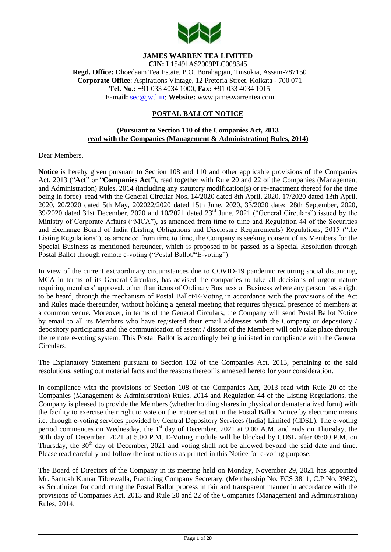

# **JAMES WARREN TEA LIMITED**

**CIN:** L15491AS2009PLC009345 **Regd. Office:** Dhoedaam Tea Estate, P.O. Borahapjan, Tinsukia, Assam-787150 **Corporate Office**: Aspirations Vintage, 12 Pretoria Street, Kolkata - 700 071 **Tel. No.:** +91 033 4034 1000, **Fax:** +91 033 4034 1015 **E-mail:** [sec@jwtl.in;](mailto:sec@jwtl.in) **Website:** [www.jameswarrentea.com](http://www.jameswarrentea.com/)

## **POSTAL BALLOT NOTICE**

#### **(Pursuant to Section 110 of the Companies Act, 2013 read with the Companies (Management & Administration) Rules, 2014)**

Dear Members,

**Notice** is hereby given pursuant to Section 108 and 110 and other applicable provisions of the Companies Act, 2013 ("**Act**" or "**Companies Act**"), read together with Rule 20 and 22 of the Companies (Management and Administration) Rules, 2014 (including any statutory modification(s) or re-enactment thereof for the time being in force) read with the General Circular Nos. 14/2020 dated 8th April, 2020, 17/2020 dated 13th April, 2020, 20/2020 dated 5th May, 202022/2020 dated 15th June, 2020, 33/2020 dated 28th September, 2020, 39/2020 dated 31st December, 2020 and 10/2021 dated 23rd June, 2021 ("General Circulars") issued by the Ministry of Corporate Affairs ("MCA"), as amended from time to time and Regulation 44 of the Securities and Exchange Board of India (Listing Obligations and Disclosure Requirements) Regulations, 2015 ("the Listing Regulations"), as amended from time to time, the Company is seeking consent of its Members for the Special Business as mentioned hereunder, which is proposed to be passed as a Special Resolution through Postal Ballot through remote e-voting ("Postal Ballot/"E-voting").

In view of the current extraordinary circumstances due to COVID-19 pandemic requiring social distancing, MCA in terms of its General Circulars, has advised the companies to take all decisions of urgent nature requiring members' approval, other than items of Ordinary Business or Business where any person has a right to be heard, through the mechanism of Postal Ballot/E-Voting in accordance with the provisions of the Act and Rules made thereunder, without holding a general meeting that requires physical presence of members at a common venue. Moreover, in terms of the General Circulars, the Company will send Postal Ballot Notice by email to all its Members who have registered their email addresses with the Company or depository / depository participants and the communication of assent / dissent of the Members will only take place through the remote e-voting system. This Postal Ballot is accordingly being initiated in compliance with the General Circulars.

The Explanatory Statement pursuant to Section 102 of the Companies Act, 2013, pertaining to the said resolutions, setting out material facts and the reasons thereof is annexed hereto for your consideration.

In compliance with the provisions of Section 108 of the Companies Act, 2013 read with Rule 20 of the Companies (Management & Administration) Rules, 2014 and Regulation 44 of the Listing Regulations, the Company is pleased to provide the Members (whether holding shares in physical or dematerialized form) with the facility to exercise their right to vote on the matter set out in the Postal Ballot Notice by electronic means i.e. through e-voting services provided by Central Depository Services (India) Limited (CDSL). The e-voting period commences on Wednesday, the 1<sup>st</sup> day of December, 2021 at 9.00 A.M. and ends on Thursday, the 30th day of December, 2021 at 5.00 P.M. E-Voting module will be blocked by CDSL after 05:00 P.M. on Thursday, the 30<sup>th</sup> day of December, 2021 and voting shall not be allowed beyond the said date and time. Please read carefully and follow the instructions as printed in this Notice for e-voting purpose.

The Board of Directors of the Company in its meeting held on Monday, November 29, 2021 has appointed Mr. Santosh Kumar Tibrewalla, Practicing Company Secretary, (Membership No. FCS 3811, C.P No. 3982), as Scrutinizer for conducting the Postal Ballot process in fair and transparent manner in accordance with the provisions of Companies Act, 2013 and Rule 20 and 22 of the Companies (Management and Administration) Rules, 2014.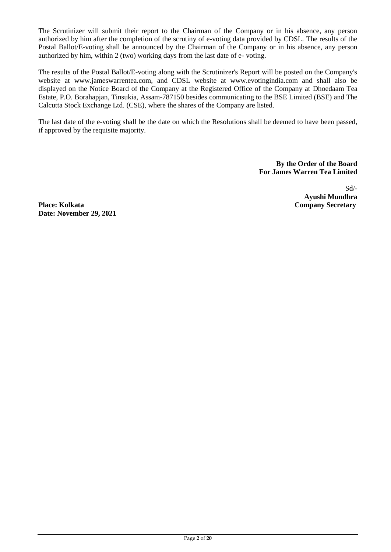The Scrutinizer will submit their report to the Chairman of the Company or in his absence, any person authorized by him after the completion of the scrutiny of e-voting data provided by CDSL. The results of the Postal Ballot/E-voting shall be announced by the Chairman of the Company or in his absence, any person authorized by him, within 2 (two) working days from the last date of e- voting.

The results of the Postal Ballot/E-voting along with the Scrutinizer's Report will be posted on the Company's website at www.jameswarrentea.com, and CDSL website at www.evotingindia.com and shall also be displayed on the Notice Board of the Company at the Registered Office of the Company at Dhoedaam Tea Estate, P.O. Borahapjan, Tinsukia, Assam-787150 besides communicating to the BSE Limited (BSE) and The Calcutta Stock Exchange Ltd. (CSE), where the shares of the Company are listed.

The last date of the e-voting shall be the date on which the Resolutions shall be deemed to have been passed, if approved by the requisite majority.

> **By the Order of the Board For James Warren Tea Limited**

> > Sd/- **Ayushi Mundhra**

**Place: Kolkata Company Secretary Date: November 29, 2021**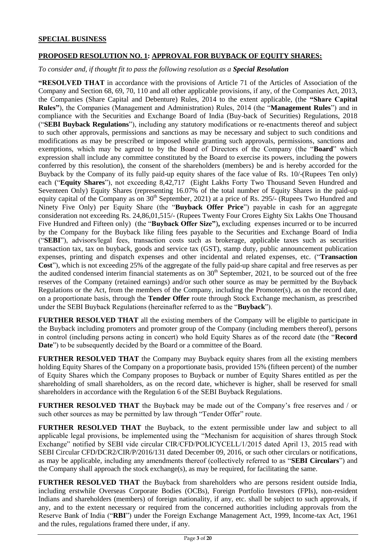### **SPECIAL BUSINESS**

### **PROPOSED RESOLUTION NO. 1: APPROVAL FOR BUYBACK OF EQUITY SHARES:**

#### *To consider and, if thought fit to pass the following resolution as a Special Resolution*

**"RESOLVED THAT** in accordance with the provisions of Article 71 of the Articles of Association of the Company and Section 68, 69, 70, 110 and all other applicable provisions, if any, of the Companies Act, 2013, the Companies (Share Capital and Debenture) Rules, 2014 to the extent applicable, (the **"Share Capital Rules"**), the Companies (Management and Administration) Rules, 2014 (the "**Management Rules**") and in compliance with the Securities and Exchange Board of India (Buy-back of Securities) Regulations, 2018 ("**SEBI Buyback Regulations**"), including any statutory modifications or re-enactments thereof and subject to such other approvals, permissions and sanctions as may be necessary and subject to such conditions and modifications as may be prescribed or imposed while granting such approvals, permissions, sanctions and exemptions, which may be agreed to by the Board of Directors of the Company (the "**Board**" which expression shall include any committee constituted by the Board to exercise its powers, including the powers conferred by this resolution), the consent of the shareholders (members) be and is hereby accorded for the Buyback by the Company of its fully paid-up equity shares of the face value of Rs. 10/-(Rupees Ten only) each ("**Equity Shares**"), not exceeding 8,42,717 (Eight Lakhs Forty Two Thousand Seven Hundred and Seventeen Only) Equity Shares (representing 16.07% of the total number of Equity Shares in the paid-up equity capital of the Company as on  $30<sup>th</sup>$  September, 2021) at a price of Rs. 295/- (Rupees Two Hundred and Ninety Five Only) per Equity Share (the "**Buyback Offer Price**") payable in cash for an aggregate consideration not exceeding Rs. 24,86,01,515/- (Rupees Twenty Four Crores Eighty Six Lakhs One Thousand Five Hundred and Fifteen only) (the "**Buyback Offer Size"**)**,** excluding expenses incurred or to be incurred by the Company for the Buyback like filing fees payable to the Securities and Exchange Board of India ("**SEBI**"), advisors/legal fees, transaction costs such as brokerage, applicable taxes such as securities transaction tax, tax on buyback, goods and service tax (GST), stamp duty, public announcement publication expenses, printing and dispatch expenses and other incidental and related expenses, etc. ("**Transaction Cost**"), which is not exceeding 25% of the aggregate of the fully paid-up share capital and free reserves as per the audited condensed interim financial statements as on  $30<sup>th</sup>$  September, 2021, to be sourced out of the free reserves of the Company (retained earnings) and/or such other source as may be permitted by the Buyback Regulations or the Act, from the members of the Company, including the Promoter(s), as on the record date, on a proportionate basis, through the **Tender Offer** route through Stock Exchange mechanism, as prescribed under the SEBI Buyback Regulations (hereinafter referred to as the "**Buyback**").

**FURTHER RESOLVED THAT** all the existing members of the Company will be eligible to participate in the Buyback including promoters and promoter group of the Company (including members thereof), persons in control (including persons acting in concert) who hold Equity Shares as of the record date (the "**Record Date**") to be subsequently decided by the Board or a committee of the Board.

**FURTHER RESOLVED THAT** the Company may Buyback equity shares from all the existing members holding Equity Shares of the Company on a proportionate basis, provided 15% (fifteen percent) of the number of Equity Shares which the Company proposes to Buyback or number of Equity Shares entitled as per the shareholding of small shareholders, as on the record date, whichever is higher, shall be reserved for small shareholders in accordance with the Regulation 6 of the SEBI Buyback Regulations.

**FURTHER RESOLVED THAT** the Buyback may be made out of the Company's free reserves and / or such other sources as may be permitted by law through "Tender Offer" route.

**FURTHER RESOLVED THAT** the Buyback, to the extent permissible under law and subject to all applicable legal provisions, be implemented using the "Mechanism for acquisition of shares through Stock Exchange" notified by SEBI vide circular CIR/CFD/POLICYCELL/1/2015 dated April 13, 2015 read with SEBI Circular CFD/DCR2/CIR/P/2016/131 dated December 09, 2016, or such other circulars or notifications, as may be applicable, including any amendments thereof (collectively referred to as "**SEBI Circulars**") and the Company shall approach the stock exchange(s), as may be required, for facilitating the same.

**FURTHER RESOLVED THAT** the Buyback from shareholders who are persons resident outside India, including erstwhile Overseas Corporate Bodies (OCBs), Foreign Portfolio Investors (FPIs), non-resident Indians and shareholders (members) of foreign nationality, if any, etc. shall be subject to such approvals, if any, and to the extent necessary or required from the concerned authorities including approvals from the Reserve Bank of India ("**RBI**") under the Foreign Exchange Management Act, 1999, Income-tax Act, 1961 and the rules, regulations framed there under, if any.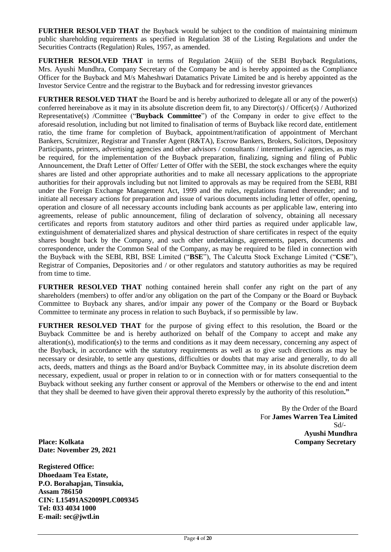**FURTHER RESOLVED THAT** the Buyback would be subject to the condition of maintaining minimum public shareholding requirements as specified in Regulation 38 of the Listing Regulations and under the Securities Contracts (Regulation) Rules, 1957, as amended.

**FURTHER RESOLVED THAT** in terms of Regulation 24(iii) of the SEBI Buyback Regulations, Mrs. Ayushi Mundhra, Company Secretary of the Company be and is hereby appointed as the Compliance Officer for the Buyback and M/s Maheshwari Datamatics Private Limited be and is hereby appointed as the Investor Service Centre and the registrar to the Buyback and for redressing investor grievances

**FURTHER RESOLVED THAT** the Board be and is hereby authorized to delegate all or any of the power(s) conferred hereinabove as it may in its absolute discretion deem fit, to any Director(s) / Officer(s) / Authorized Representative(s) /Committee ("**Buyback Committee**") of the Company in order to give effect to the aforesaid resolution, including but not limited to finalisation of terms of Buyback like record date, entitlement ratio, the time frame for completion of Buyback, appointment/ratification of appointment of Merchant Bankers, Scruitnizer, Registrar and Transfer Agent (R&TA), Escrow Bankers, Brokers, Solicitors, Depository Participants, printers, advertising agencies and other advisors / consultants / intermediaries / agencies, as may be required, for the implementation of the Buyback preparation, finalizing, signing and filing of Public Announcement, the Draft Letter of Offer/ Letter of Offer with the SEBI, the stock exchanges where the equity shares are listed and other appropriate authorities and to make all necessary applications to the appropriate authorities for their approvals including but not limited to approvals as may be required from the SEBI, RBI under the Foreign Exchange Management Act, 1999 and the rules, regulations framed thereunder; and to initiate all necessary actions for preparation and issue of various documents including letter of offer, opening, operation and closure of all necessary accounts including bank accounts as per applicable law, entering into agreements, release of public announcement, filing of declaration of solvency, obtaining all necessary certificates and reports from statutory auditors and other third parties as required under applicable law, extinguishment of dematerialized shares and physical destruction of share certificates in respect of the equity shares bought back by the Company, and such other undertakings, agreements, papers, documents and correspondence, under the Common Seal of the Company, as may be required to be filed in connection with the Buyback with the SEBI, RBI, BSE Limited ("**BSE**"), The Calcutta Stock Exchange Limited ("**CSE**"), Registrar of Companies, Depositories and / or other regulators and statutory authorities as may be required from time to time.

**FURTHER RESOLVED THAT** nothing contained herein shall confer any right on the part of any shareholders (members) to offer and/or any obligation on the part of the Company or the Board or Buyback Committee to Buyback any shares, and/or impair any power of the Company or the Board or Buyback Committee to terminate any process in relation to such Buyback, if so permissible by law.

**FURTHER RESOLVED THAT** for the purpose of giving effect to this resolution, the Board or the Buyback Committee be and is hereby authorized on behalf of the Company to accept and make any alteration(s), modification(s) to the terms and conditions as it may deem necessary, concerning any aspect of the Buyback, in accordance with the statutory requirements as well as to give such directions as may be necessary or desirable, to settle any questions, difficulties or doubts that may arise and generally, to do all acts, deeds, matters and things as the Board and/or Buyback Committee may, in its absolute discretion deem necessary, expedient, usual or proper in relation to or in connection with or for matters consequential to the Buyback without seeking any further consent or approval of the Members or otherwise to the end and intent that they shall be deemed to have given their approval thereto expressly by the authority of this resolution**."**

By the Order of the Board For **James Warren Tea Limited** Sd/- **Ayushi Mundhra Place: Kolkata Company Secretary**

**Date: November 29, 2021**

**Registered Office: Dhoedaam Tea Estate, P.O. Borahapjan, Tinsukia, Assam 786150 CIN: L15491AS2009PLC009345 Tel: 033 4034 1000 E-mail: sec@jwtl.in**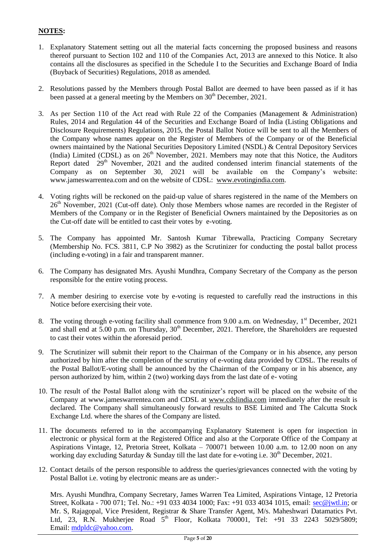# **NOTES:**

- 1. Explanatory Statement setting out all the material facts concerning the proposed business and reasons thereof pursuant to Section 102 and 110 of the Companies Act, 2013 are annexed to this Notice. It also contains all the disclosures as specified in the Schedule I to the Securities and Exchange Board of India (Buyback of Securities) Regulations, 2018 as amended.
- 2. Resolutions passed by the Members through Postal Ballot are deemed to have been passed as if it has been passed at a general meeting by the Members on  $30<sup>th</sup>$  December, 2021.
- 3. As per Section 110 of the Act read with Rule 22 of the Companies (Management & Administration) Rules, 2014 and Regulation 44 of the Securities and Exchange Board of India (Listing Obligations and Disclosure Requirements) Regulations, 2015, the Postal Ballot Notice will be sent to all the Members of the Company whose names appear on the Register of Members of the Company or of the Beneficial owners maintained by the National Securities Depository Limited (NSDL) & Central Depository Services (India) Limited (CDSL) as on  $26<sup>th</sup>$  November, 2021. Members may note that this Notice, the Auditors Report dated  $29<sup>th</sup>$  November, 2021 and the audited condensed interim financial statements of the Company as on September 30, 2021 will be available on the Company's website: www.jameswarrentea.com and on the website of CDSL: [www.evotingindia.com.](http://www.evotingindia.com/)
- 4. Voting rights will be reckoned on the paid-up value of shares registered in the name of the Members on 26<sup>th</sup> November, 2021 (Cut-off date). Only those Members whose names are recorded in the Register of Members of the Company or in the Register of Beneficial Owners maintained by the Depositories as on the Cut-off date will be entitled to cast their votes by e-voting.
- 5. The Company has appointed Mr. Santosh Kumar Tibrewalla, Practicing Company Secretary (Membership No. FCS. 3811, C.P No 3982) as the Scrutinizer for conducting the postal ballot process (including e-voting) in a fair and transparent manner.
- 6. The Company has designated Mrs. Ayushi Mundhra, Company Secretary of the Company as the person responsible for the entire voting process.
- 7. A member desiring to exercise vote by e-voting is requested to carefully read the instructions in this Notice before exercising their vote.
- 8. The voting through e-voting facility shall commence from 9.00 a.m. on Wednesday, 1<sup>st</sup> December, 2021 and shall end at 5.00 p.m. on Thursday, 30<sup>th</sup> December, 2021. Therefore, the Shareholders are requested to cast their votes within the aforesaid period.
- 9. The Scrutinizer will submit their report to the Chairman of the Company or in his absence, any person authorized by him after the completion of the scrutiny of e-voting data provided by CDSL. The results of the Postal Ballot/E-voting shall be announced by the Chairman of the Company or in his absence, any person authorized by him, within 2 (two) working days from the last date of e- voting
- 10. The result of the Postal Ballot along with the scrutinizer"s report will be placed on the website of the Company at www.jameswarrentea.com and CDSL at [www.cdslindia.com](http://www.cdslindia.com/) immediately after the result is declared. The Company shall simultaneously forward results to BSE Limited and The Calcutta Stock Exchange Ltd. where the shares of the Company are listed.
- 11. The documents referred to in the accompanying Explanatory Statement is open for inspection in electronic or physical form at the Registered Office and also at the Corporate Office of the Company at Aspirations Vintage, 12, Pretoria Street, Kolkata – 700071 between 10.00 a.m. to 12.00 noon on any working day excluding Saturday & Sunday till the last date for e-voting i.e.  $30<sup>th</sup>$  December, 2021.
- 12. Contact details of the person responsible to address the queries/grievances connected with the voting by Postal Ballot i.e. voting by electronic means are as under:-

Mrs. Ayushi Mundhra, Company Secretary, James Warren Tea Limited, Aspirations Vintage, 12 Pretoria Street, Kolkata - 700 071; Tel. No.: +91 033 4034 1000; Fax: +91 033 4034 1015, email: [sec@jwtl.in;](mailto:sec@jwtl.in) or Mr. S, Rajagopal, Vice President, Registrar & Share Transfer Agent, M/s. Maheshwari Datamatics Pvt. Ltd, 23, R.N. Mukherjee Road 5<sup>th</sup> Floor, Kolkata 700001, Tel: +91 33 2243 5029/5809; Email: [mdpldc@yahoo.com.](mailto:mdpldc@yahoo.com)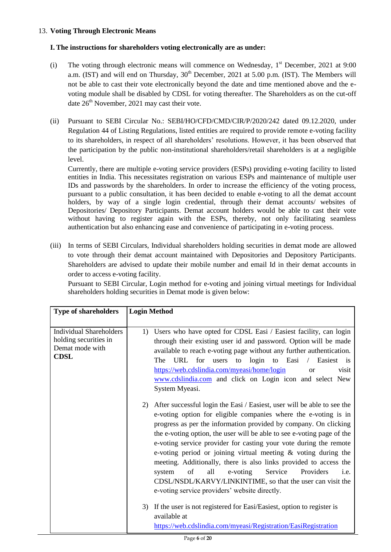## 13. **Voting Through Electronic Means**

## **I. The instructions for shareholders voting electronically are as under:**

- (i) The voting through electronic means will commence on Wednesday,  $1<sup>st</sup>$  December, 2021 at 9:00 a.m. (IST) and will end on Thursday,  $30<sup>th</sup>$  December, 2021 at 5.00 p.m. (IST). The Members will not be able to cast their vote electronically beyond the date and time mentioned above and the evoting module shall be disabled by CDSL for voting thereafter. The Shareholders as on the cut-off date  $26<sup>th</sup>$  November, 2021 may cast their vote.
- (ii) Pursuant to SEBI Circular No.: SEBI/HO/CFD/CMD/CIR/P/2020/242 dated 09.12.2020, under Regulation 44 of Listing Regulations, listed entities are required to provide remote e-voting facility to its shareholders, in respect of all shareholders" resolutions. However, it has been observed that the participation by the public non-institutional shareholders/retail shareholders is at a negligible level.

Currently, there are multiple e-voting service providers (ESPs) providing e-voting facility to listed entities in India. This necessitates registration on various ESPs and maintenance of multiple user IDs and passwords by the shareholders. In order to increase the efficiency of the voting process, pursuant to a public consultation, it has been decided to enable e-voting to all the demat account holders, by way of a single login credential, through their demat accounts/ websites of Depositories/ Depository Participants. Demat account holders would be able to cast their vote without having to register again with the ESPs, thereby, not only facilitating seamless authentication but also enhancing ease and convenience of participating in e-voting process.

(iii) In terms of SEBI Circulars, Individual shareholders holding securities in demat mode are allowed to vote through their demat account maintained with Depositories and Depository Participants. Shareholders are advised to update their mobile number and email Id in their demat accounts in order to access e-voting facility.

Pursuant to SEBI Circular, Login method for e-voting and joining virtual meetings for Individual shareholders holding securities in Demat mode is given below:

| <b>Type of shareholders</b>                                                               | <b>Login Method</b>                                                                                                                                                                                                                                                                                                                                                                                                                                                                                                                                                                                                                                                                          |
|-------------------------------------------------------------------------------------------|----------------------------------------------------------------------------------------------------------------------------------------------------------------------------------------------------------------------------------------------------------------------------------------------------------------------------------------------------------------------------------------------------------------------------------------------------------------------------------------------------------------------------------------------------------------------------------------------------------------------------------------------------------------------------------------------|
|                                                                                           |                                                                                                                                                                                                                                                                                                                                                                                                                                                                                                                                                                                                                                                                                              |
| <b>Individual Shareholders</b><br>holding securities in<br>Demat mode with<br><b>CDSL</b> | Users who have opted for CDSL Easi / Easiest facility, can login<br>1)<br>through their existing user id and password. Option will be made<br>available to reach e-voting page without any further authentication.<br>URL<br>for<br>login to Easi<br>Easiest is<br>The<br>users<br>$\sqrt{2}$<br>to<br>https://web.cdslindia.com/myeasi/home/login<br>visit<br><sub>or</sub><br>www.cdslindia.com and click on Login icon and select New<br>System Myeasi.                                                                                                                                                                                                                                   |
|                                                                                           | 2)<br>After successful login the Easi / Easiest, user will be able to see the<br>e-voting option for eligible companies where the e-voting is in<br>progress as per the information provided by company. On clicking<br>the e-voting option, the user will be able to see e-voting page of the<br>e-voting service provider for casting your vote during the remote<br>e-voting period or joining virtual meeting & voting during the<br>meeting. Additionally, there is also links provided to access the<br>of<br>all<br>e-voting<br>Service<br>Providers<br>i.e.<br>system<br>CDSL/NSDL/KARVY/LINKINTIME, so that the user can visit the<br>e-voting service providers' website directly. |
|                                                                                           | 3)<br>If the user is not registered for Easi/Easiest, option to register is<br>available at<br>https://web.cdslindia.com/myeasi/Registration/EasiRegistration                                                                                                                                                                                                                                                                                                                                                                                                                                                                                                                                |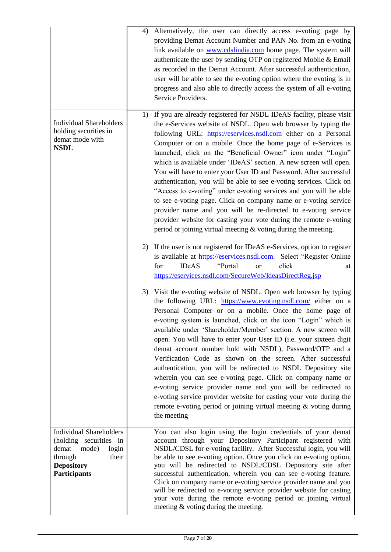|                                                                                                                                                     | 4) | Alternatively, the user can directly access e-voting page by<br>providing Demat Account Number and PAN No. from an e-voting<br>link available on www.cdslindia.com home page. The system will<br>authenticate the user by sending OTP on registered Mobile & Email<br>as recorded in the Demat Account. After successful authentication,<br>user will be able to see the e-voting option where the evoting is in<br>progress and also able to directly access the system of all e-voting<br>Service Providers.                                                                                                                                                                                                                                                                                                                                                                                                                                                                                                                                                                                                                        |
|-----------------------------------------------------------------------------------------------------------------------------------------------------|----|---------------------------------------------------------------------------------------------------------------------------------------------------------------------------------------------------------------------------------------------------------------------------------------------------------------------------------------------------------------------------------------------------------------------------------------------------------------------------------------------------------------------------------------------------------------------------------------------------------------------------------------------------------------------------------------------------------------------------------------------------------------------------------------------------------------------------------------------------------------------------------------------------------------------------------------------------------------------------------------------------------------------------------------------------------------------------------------------------------------------------------------|
| <b>Individual Shareholders</b><br>holding securities in<br>demat mode with<br><b>NSDL</b>                                                           |    | 1) If you are already registered for NSDL IDeAS facility, please visit<br>the e-Services website of NSDL. Open web browser by typing the<br>following URL: https://eservices.nsdl.com either on a Personal<br>Computer or on a mobile. Once the home page of e-Services is<br>launched, click on the "Beneficial Owner" icon under "Login"<br>which is available under 'IDeAS' section. A new screen will open.<br>You will have to enter your User ID and Password. After successful<br>authentication, you will be able to see e-voting services. Click on<br>"Access to e-voting" under e-voting services and you will be able<br>to see e-voting page. Click on company name or e-voting service<br>provider name and you will be re-directed to e-voting service<br>provider website for casting your vote during the remote e-voting<br>period or joining virtual meeting $\&$ voting during the meeting.<br>2) If the user is not registered for IDeAS e-Services, option to register<br>is available at https://eservices.nsdl.com. Select "Register Online<br><b>IDeAS</b><br>"Portal<br>click<br>for<br><sub>or</sub><br>at |
|                                                                                                                                                     |    | https://eservices.nsdl.com/SecureWeb/IdeasDirectReg.jsp<br>3) Visit the e-voting website of NSDL. Open web browser by typing<br>the following URL: https://www.evoting.nsdl.com/ either on a<br>Personal Computer or on a mobile. Once the home page of<br>e-voting system is launched, click on the icon "Login" which is<br>available under 'Shareholder/Member' section. A new screen will<br>open. You will have to enter your User ID (i.e. your sixteen digit<br>demat account number hold with NSDL), Password/OTP and a<br>Verification Code as shown on the screen. After successful<br>authentication, you will be redirected to NSDL Depository site<br>wherein you can see e-voting page. Click on company name or<br>e-voting service provider name and you will be redirected to<br>e-voting service provider website for casting your vote during the<br>remote e-voting period or joining virtual meeting & voting during<br>the meeting                                                                                                                                                                              |
| <b>Individual Shareholders</b><br>(holding securities in<br>demat<br>mode)<br>login<br>through<br>their<br><b>Depository</b><br><b>Participants</b> |    | You can also login using the login credentials of your demat<br>account through your Depository Participant registered with<br>NSDL/CDSL for e-voting facility. After Successful login, you will<br>be able to see e-voting option. Once you click on e-voting option,<br>you will be redirected to NSDL/CDSL Depository site after<br>successful authentication, wherein you can see e-voting feature.<br>Click on company name or e-voting service provider name and you<br>will be redirected to e-voting service provider website for casting<br>your vote during the remote e-voting period or joining virtual<br>meeting $\&$ voting during the meeting.                                                                                                                                                                                                                                                                                                                                                                                                                                                                        |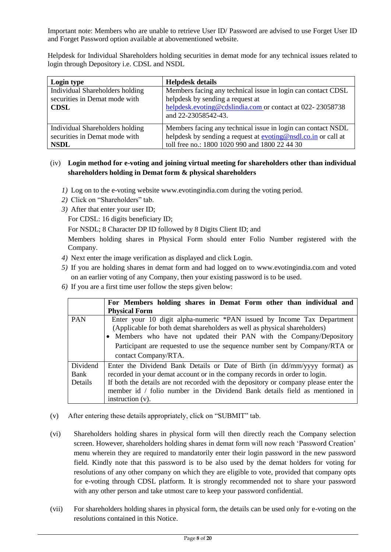Important note: Members who are unable to retrieve User ID/ Password are advised to use Forget User ID and Forget Password option available at abovementioned website.

Helpdesk for Individual Shareholders holding securities in demat mode for any technical issues related to login through Depository i.e. CDSL and NSDL

| Login type                                                                      | <b>Helpdesk details</b>                                                                                                                                                              |
|---------------------------------------------------------------------------------|--------------------------------------------------------------------------------------------------------------------------------------------------------------------------------------|
| Individual Shareholders holding<br>securities in Demat mode with<br><b>CDSL</b> | Members facing any technical issue in login can contact CDSL<br>helpdesk by sending a request at<br>helpdesk.evoting@cdslindia.com or contact at 022-23058738<br>and 22-23058542-43. |
| Individual Shareholders holding<br>securities in Demat mode with<br><b>NSDL</b> | Members facing any technical issue in login can contact NSDL<br>helpdesk by sending a request at evoting@nsdl.co.in or call at<br>toll free no.: 1800 1020 990 and 1800 22 44 30     |

# (iv) **Login method for e-voting and joining virtual meeting for shareholders other than individual shareholders holding in Demat form & physical shareholders**

- *1)* Log on to the e-voting website [www.evotingindia.com](http://www.evotingindia.com/) during the voting period.
- *2)* Click on "Shareholders" tab.
- *3)* After that enter your user ID;

For CDSL: 16 digits beneficiary ID;

For NSDL; 8 Character DP ID followed by 8 Digits Client ID; and

Members holding shares in Physical Form should enter Folio Number registered with the Company.

- *4)* Next enter the image verification as displayed and click Login.
- *5)* If you are holding shares in demat form and had logged on to www.evotingindia.com and voted on an earlier voting of any Company, then your existing password is to be used.
- *6)* If you are a first time user follow the steps given below:

|                             | For Members holding shares in Demat Form other than individual and<br><b>Physical Form</b>                                                                                                                                                                                                                                                              |
|-----------------------------|---------------------------------------------------------------------------------------------------------------------------------------------------------------------------------------------------------------------------------------------------------------------------------------------------------------------------------------------------------|
| <b>PAN</b>                  | Enter your 10 digit alpha-numeric *PAN issued by Income Tax Department<br>(Applicable for both demat shareholders as well as physical shareholders)<br>Members who have not updated their PAN with the Company/Depository<br>Participant are requested to use the sequence number sent by Company/RTA or<br>contact Company/RTA.                        |
| Dividend<br>Bank<br>Details | Enter the Dividend Bank Details or Date of Birth (in dd/mm/yyyy format) as<br>recorded in your demat account or in the company records in order to login.<br>If both the details are not recorded with the depository or company please enter the<br>member id / folio number in the Dividend Bank details field as mentioned in<br>instruction $(v)$ . |

- (v) After entering these details appropriately, click on "SUBMIT" tab.
- (vi) Shareholders holding shares in physical form will then directly reach the Company selection screen. However, shareholders holding shares in demat form will now reach "Password Creation" menu wherein they are required to mandatorily enter their login password in the new password field. Kindly note that this password is to be also used by the demat holders for voting for resolutions of any other company on which they are eligible to vote, provided that company opts for e-voting through CDSL platform. It is strongly recommended not to share your password with any other person and take utmost care to keep your password confidential.
- (vii) For shareholders holding shares in physical form, the details can be used only for e-voting on the resolutions contained in this Notice.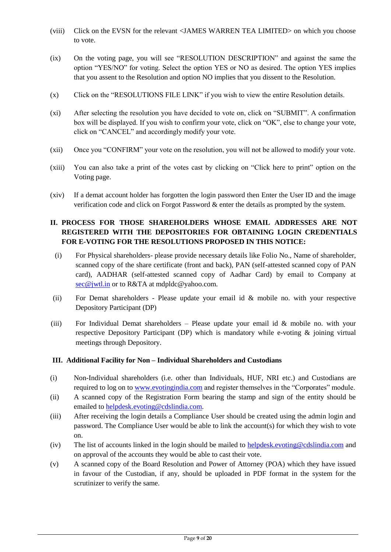- (viii) Click on the EVSN for the relevant <JAMES WARREN TEA LIMITED> on which you choose to vote.
- (ix) On the voting page, you will see "RESOLUTION DESCRIPTION" and against the same the option "YES/NO" for voting. Select the option YES or NO as desired. The option YES implies that you assent to the Resolution and option NO implies that you dissent to the Resolution.
- (x) Click on the "RESOLUTIONS FILE LINK" if you wish to view the entire Resolution details.
- (xi) After selecting the resolution you have decided to vote on, click on "SUBMIT". A confirmation box will be displayed. If you wish to confirm your vote, click on "OK", else to change your vote, click on "CANCEL" and accordingly modify your vote.
- (xii) Once you "CONFIRM" your vote on the resolution, you will not be allowed to modify your vote.
- (xiii) You can also take a print of the votes cast by clicking on "Click here to print" option on the Voting page.
- (xiv) If a demat account holder has forgotten the login password then Enter the User ID and the image verification code and click on Forgot Password & enter the details as prompted by the system.

# **II. PROCESS FOR THOSE SHAREHOLDERS WHOSE EMAIL ADDRESSES ARE NOT REGISTERED WITH THE DEPOSITORIES FOR OBTAINING LOGIN CREDENTIALS FOR E-VOTING FOR THE RESOLUTIONS PROPOSED IN THIS NOTICE:**

- (i) For Physical shareholders- please provide necessary details like Folio No., Name of shareholder, scanned copy of the share certificate (front and back), PAN (self-attested scanned copy of PAN card), AADHAR (self-attested scanned copy of Aadhar Card) by email to Company at [sec@jwtl.in](mailto:sec@jwtl.in) or to R&TA at mdpldc@yahoo.com.
- (ii) For Demat shareholders Please update your email id & mobile no. with your respective Depository Participant (DP)
- (iii) For Individual Demat shareholders Please update your email id & mobile no. with your respective Depository Participant (DP) which is mandatory while e-voting & joining virtual meetings through Depository.

#### **III. Additional Facility for Non – Individual Shareholders and Custodians**

- (i) Non-Individual shareholders (i.e. other than Individuals, HUF, NRI etc.) and Custodians are required to log on to [www.evotingindia.com](http://www.evotingindia.com/) and register themselves in the "Corporates" module.
- (ii) A scanned copy of the Registration Form bearing the stamp and sign of the entity should be emailed to [helpdesk.evoting@cdslindia.com.](mailto:helpdesk.evoting@cdslindia.com)
- (iii) After receiving the login details a Compliance User should be created using the admin login and password. The Compliance User would be able to link the account(s) for which they wish to vote on.
- (iv) The list of accounts linked in the login should be mailed to [helpdesk.evoting@cdslindia.com](mailto:helpdesk.evoting@cdslindia.com) and on approval of the accounts they would be able to cast their vote.
- (v) A scanned copy of the Board Resolution and Power of Attorney (POA) which they have issued in favour of the Custodian, if any, should be uploaded in PDF format in the system for the scrutinizer to verify the same.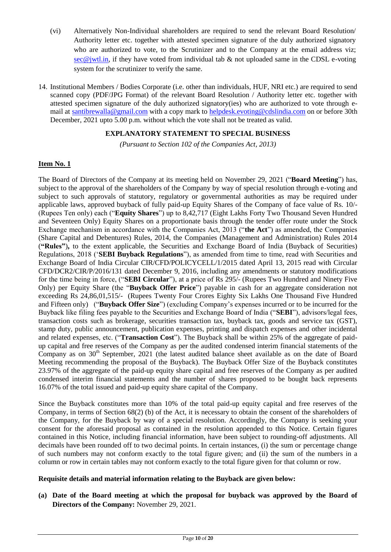- (vi) Alternatively Non-Individual shareholders are required to send the relevant Board Resolution/ Authority letter etc. together with attested specimen signature of the duly authorized signatory who are authorized to vote, to the Scrutinizer and to the Company at the email address viz;  $\sec\omega$  jwtl.in, if they have voted from individual tab & not uploaded same in the CDSL e-voting system for the scrutinizer to verify the same.
- 14. Institutional Members / Bodies Corporate (i.e. other than individuals, HUF, NRI etc.) are required to send scanned copy (PDF/JPG Format) of the relevant Board Resolution / Authority letter etc. together with attested specimen signature of the duly authorized signatory(ies) who are authorized to vote through email at [santibrewalla@gmail.com](mailto:santibrewalla@gmail.com) with a copy mark to [helpdesk.evoting@cdslindia.com](mailto:helpdesk.evoting@cdslindia.com) on or before 30th December, 2021 upto 5.00 p.m. without which the vote shall not be treated as valid.

# **EXPLANATORY STATEMENT TO SPECIAL BUSINESS**

*(Pursuant to Section 102 of the Companies Act, 2013)*

### **Item No. 1**

The Board of Directors of the Company at its meeting held on November 29, 2021 ("**Board Meeting**") has, subject to the approval of the shareholders of the Company by way of special resolution through e-voting and subject to such approvals of statutory, regulatory or governmental authorities as may be required under applicable laws, approved buyback of fully paid-up Equity Shares of the Company of face value of Rs. 10/- (Rupees Ten only) each ("**Equity Shares**") up to 8,42,717 (Eight Lakhs Forty Two Thousand Seven Hundred and Seventeen Only) Equity Shares on a proportionate basis through the tender offer route under the Stock Exchange mechanism in accordance with the Companies Act, 2013 ("**the Act**") as amended, the Companies (Share Capital and Debentures) Rules, 2014, the Companies (Management and Administration) Rules 2014 (**"Rules"**)**,** to the extent applicable, the Securities and Exchange Board of India (Buyback of Securities) Regulations, 2018 ("**SEBI Buyback Regulations**"), as amended from time to time, read with Securities and Exchange Board of India Circular CIR/CFD/POLICYCELL/1/2015 dated April 13, 2015 read with Circular CFD/DCR2/CIR/P/2016/131 dated December 9, 2016, including any amendments or statutory modifications for the time being in force, ("**SEBI Circular**"), at a price of Rs 295/- (Rupees Two Hundred and Ninety Five Only) per Equity Share (the "**Buyback Offer Price**") payable in cash for an aggregate consideration not exceeding Rs 24,86,01,515/- (Rupees Twenty Four Crores Eighty Six Lakhs One Thousand Five Hundred and Fifteen only) ("**Buyback Offer Size**") (excluding Company"s expenses incurred or to be incurred for the Buyback like filing fees payable to the Securities and Exchange Board of India ("**SEBI**"), advisors/legal fees, transaction costs such as brokerage, securities transaction tax, buyback tax, goods and service tax (GST), stamp duty, public announcement, publication expenses, printing and dispatch expenses and other incidental and related expenses, etc. ("**Transaction Cost**"). The Buyback shall be within 25% of the aggregate of paidup capital and free reserves of the Company as per the audited condensed interim financial statements of the Company as on 30<sup>th</sup> September, 2021 (the latest audited balance sheet available as on the date of Board Meeting recommending the proposal of the Buyback). The Buyback Offer Size of the Buyback constitutes 23.97% of the aggregate of the paid-up equity share capital and free reserves of the Company as per audited condensed interim financial statements and the number of shares proposed to be bought back represents 16.07% of the total issued and paid-up equity share capital of the Company.

Since the Buyback constitutes more than 10% of the total paid-up equity capital and free reserves of the Company, in terms of Section 68(2) (b) of the Act, it is necessary to obtain the consent of the shareholders of the Company, for the Buyback by way of a special resolution. Accordingly, the Company is seeking your consent for the aforesaid proposal as contained in the resolution appended to this Notice. Certain figures contained in this Notice, including financial information, have been subject to rounding-off adjustments. All decimals have been rounded off to two decimal points. In certain instances, (i) the sum or percentage change of such numbers may not conform exactly to the total figure given; and (ii) the sum of the numbers in a column or row in certain tables may not conform exactly to the total figure given for that column or row.

### **Requisite details and material information relating to the Buyback are given below:**

**(a) Date of the Board meeting at which the proposal for buyback was approved by the Board of Directors of the Company:** November 29, 2021.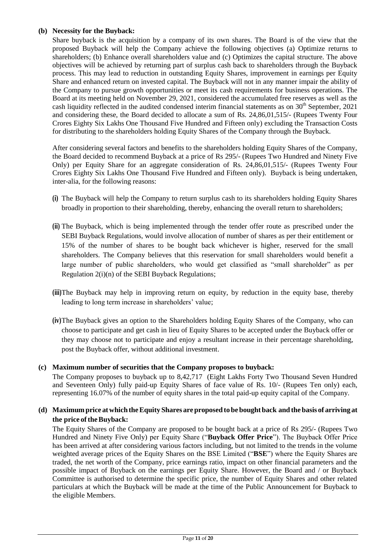## **(b) Necessity for the Buyback:**

Share buyback is the acquisition by a company of its own shares. The Board is of the view that the proposed Buyback will help the Company achieve the following objectives (a) Optimize returns to shareholders; (b) Enhance overall shareholders value and (c) Optimizes the capital structure. The above objectives will be achieved by returning part of surplus cash back to shareholders through the Buyback process. This may lead to reduction in outstanding Equity Shares, improvement in earnings per Equity Share and enhanced return on invested capital. The Buyback will not in any manner impair the ability of the Company to pursue growth opportunities or meet its cash requirements for business operations. The Board at its meeting held on November 29, 2021, considered the accumulated free reserves as well as the cash liquidity reflected in the audited condensed interim financial statements as on  $30<sup>th</sup>$  September, 2021 and considering these, the Board decided to allocate a sum of Rs. 24,86,01,515/- (Rupees Twenty Four Crores Eighty Six Lakhs One Thousand Five Hundred and Fifteen only) excluding the Transaction Costs for distributing to the shareholders holding Equity Shares of the Company through the Buyback.

After considering several factors and benefits to the shareholders holding Equity Shares of the Company, the Board decided to recommend Buyback at a price of Rs 295/- (Rupees Two Hundred and Ninety Five Only) per Equity Share for an aggregate consideration of Rs. 24,86,01,515/- (Rupees Twenty Four Crores Eighty Six Lakhs One Thousand Five Hundred and Fifteen only). Buyback is being undertaken, inter-alia, for the following reasons:

- **(i)** The Buyback will help the Company to return surplus cash to its shareholders holding Equity Shares broadly in proportion to their shareholding, thereby, enhancing the overall return to shareholders;
- **(ii)** The Buyback, which is being implemented through the tender offer route as prescribed under the SEBI Buyback Regulations, would involve allocation of number of shares as per their entitlement or 15% of the number of shares to be bought back whichever is higher, reserved for the small shareholders. The Company believes that this reservation for small shareholders would benefit a large number of public shareholders, who would get classified as "small shareholder" as per Regulation 2(i)(n) of the SEBI Buyback Regulations;
- **(iii)**The Buyback may help in improving return on equity, by reduction in the equity base, thereby leading to long term increase in shareholders' value;
- **(iv)**The Buyback gives an option to the Shareholders holding Equity Shares of the Company, who can choose to participate and get cash in lieu of Equity Shares to be accepted under the Buyback offer or they may choose not to participate and enjoy a resultant increase in their percentage shareholding, post the Buyback offer, without additional investment.

### **(c) Maximum number of securities that the Company proposes to buyback:**

The Company proposes to buyback up to 8,42,717 (Eight Lakhs Forty Two Thousand Seven Hundred and Seventeen Only) fully paid-up Equity Shares of face value of Rs. 10/- (Rupees Ten only) each, representing 16.07% of the number of equity shares in the total paid-up equity capital of the Company.

# **(d) Maximum price atwhichtheEquity Shares are proposed to be bought back and the basis of arriving at the price of the Buyback:**

The Equity Shares of the Company are proposed to be bought back at a price of Rs 295/- (Rupees Two Hundred and Ninety Five Only) per Equity Share ("**Buyback Offer Price**"). The Buyback Offer Price has been arrived at after considering various factors including, but not limited to the trends in the volume weighted average prices of the Equity Shares on the BSE Limited ("**BSE**") where the Equity Shares are traded, the net worth of the Company, price earnings ratio, impact on other financial parameters and the possible impact of Buyback on the earnings per Equity Share. However, the Board and / or Buyback Committee is authorised to determine the specific price, the number of Equity Shares and other related particulars at which the Buyback will be made at the time of the Public Announcement for Buyback to the eligible Members.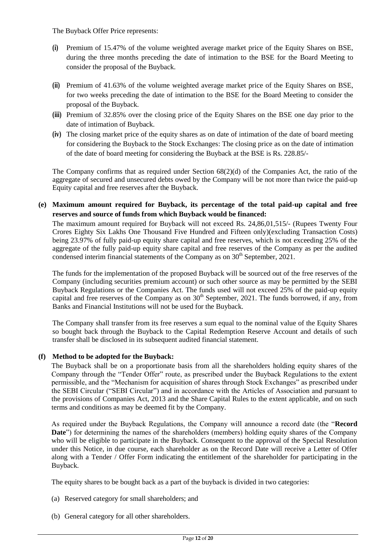The Buyback Offer Price represents:

- **(i)** Premium of 15.47% of the volume weighted average market price of the Equity Shares on BSE, during the three months preceding the date of intimation to the BSE for the Board Meeting to consider the proposal of the Buyback.
- **(ii)** Premium of 41.63% of the volume weighted average market price of the Equity Shares on BSE, for two weeks preceding the date of intimation to the BSE for the Board Meeting to consider the proposal of the Buyback.
- **(iii)** Premium of 32.85% over the closing price of the Equity Shares on the BSE one day prior to the date of intimation of Buyback.
- **(iv)** The closing market price of the equity shares as on date of intimation of the date of board meeting for considering the Buyback to the Stock Exchanges: The closing price as on the date of intimation of the date of board meeting for considering the Buyback at the BSE is Rs. 228.85/-

The Company confirms that as required under Section  $68(2)(d)$  of the Companies Act, the ratio of the aggregate of secured and unsecured debts owed by the Company will be not more than twice the paid-up Equity capital and free reserves after the Buyback.

**(e) Maximum amount required for Buyback, its percentage of the total paid-up capital and free reserves and source of funds from which Buyback would be financed:**

The maximum amount required for Buyback will not exceed Rs. 24,86,01,515/- (Rupees Twenty Four Crores Eighty Six Lakhs One Thousand Five Hundred and Fifteen only)(excluding Transaction Costs) being 23.97% of fully paid-up equity share capital and free reserves, which is not exceeding 25% of the aggregate of the fully paid-up equity share capital and free reserves of the Company as per the audited condensed interim financial statements of the Company as on  $30<sup>th</sup>$  September, 2021.

The funds for the implementation of the proposed Buyback will be sourced out of the free reserves of the Company (including securities premium account) or such other source as may be permitted by the SEBI Buyback Regulations or the Companies Act. The funds used will not exceed 25% of the paid-up equity capital and free reserves of the Company as on 30<sup>th</sup> September, 2021. The funds borrowed, if any, from Banks and Financial Institutions will not be used for the Buyback.

The Company shall transfer from its free reserves a sum equal to the nominal value of the Equity Shares so bought back through the Buyback to the Capital Redemption Reserve Account and details of such transfer shall be disclosed in its subsequent audited financial statement.

### **(f) Method to be adopted for the Buyback:**

The Buyback shall be on a proportionate basis from all the shareholders holding equity shares of the Company through the "Tender Offer" route, as prescribed under the Buyback Regulations to the extent permissible, and the "Mechanism for acquisition of shares through Stock Exchanges" as prescribed under the SEBI Circular ("SEBI Circular") and in accordance with the Articles of Association and pursuant to the provisions of Companies Act, 2013 and the Share Capital Rules to the extent applicable, and on such terms and conditions as may be deemed fit by the Company.

As required under the Buyback Regulations, the Company will announce a record date (the "**Record Date**") for determining the names of the shareholders (members) holding equity shares of the Company who will be eligible to participate in the Buyback. Consequent to the approval of the Special Resolution under this Notice, in due course, each shareholder as on the Record Date will receive a Letter of Offer along with a Tender / Offer Form indicating the entitlement of the shareholder for participating in the Buyback.

The equity shares to be bought back as a part of the buyback is divided in two categories:

- (a) Reserved category for small shareholders; and
- (b) General category for all other shareholders.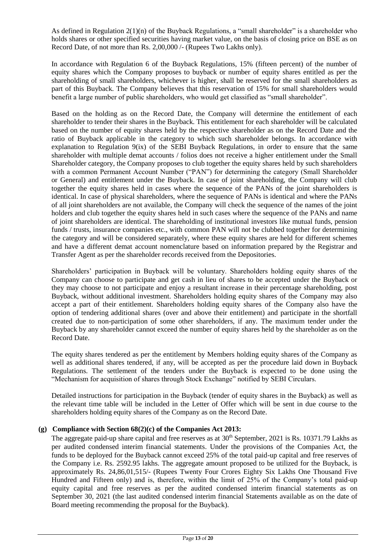As defined in Regulation  $2(1)(n)$  of the Buyback Regulations, a "small shareholder" is a shareholder who holds shares or other specified securities having market value, on the basis of closing price on BSE as on Record Date, of not more than Rs. 2,00,000 /- (Rupees Two Lakhs only).

In accordance with Regulation 6 of the Buyback Regulations, 15% (fifteen percent) of the number of equity shares which the Company proposes to buyback or number of equity shares entitled as per the shareholding of small shareholders, whichever is higher, shall be reserved for the small shareholders as part of this Buyback. The Company believes that this reservation of 15% for small shareholders would benefit a large number of public shareholders, who would get classified as "small shareholder".

Based on the holding as on the Record Date, the Company will determine the entitlement of each shareholder to tender their shares in the Buyback. This entitlement for each shareholder will be calculated based on the number of equity shares held by the respective shareholder as on the Record Date and the ratio of Buyback applicable in the category to which such shareholder belongs. In accordance with explanation to Regulation 9(ix) of the SEBI Buyback Regulations, in order to ensure that the same shareholder with multiple demat accounts / folios does not receive a higher entitlement under the Small Shareholder category, the Company proposes to club together the equity shares held by such shareholders with a common Permanent Account Number ("PAN") for determining the category (Small Shareholder or General) and entitlement under the Buyback. In case of joint shareholding, the Company will club together the equity shares held in cases where the sequence of the PANs of the joint shareholders is identical. In case of physical shareholders, where the sequence of PANs is identical and where the PANs of all joint shareholders are not available, the Company will check the sequence of the names of the joint holders and club together the equity shares held in such cases where the sequence of the PANs and name of joint shareholders are identical. The shareholding of institutional investors like mutual funds, pension funds / trusts, insurance companies etc., with common PAN will not be clubbed together for determining the category and will be considered separately, where these equity shares are held for different schemes and have a different demat account nomenclature based on information prepared by the Registrar and Transfer Agent as per the shareholder records received from the Depositories.

Shareholders" participation in Buyback will be voluntary. Shareholders holding equity shares of the Company can choose to participate and get cash in lieu of shares to be accepted under the Buyback or they may choose to not participate and enjoy a resultant increase in their percentage shareholding, post Buyback, without additional investment. Shareholders holding equity shares of the Company may also accept a part of their entitlement. Shareholders holding equity shares of the Company also have the option of tendering additional shares (over and above their entitlement) and participate in the shortfall created due to non-participation of some other shareholders, if any. The maximum tender under the Buyback by any shareholder cannot exceed the number of equity shares held by the shareholder as on the Record Date.

The equity shares tendered as per the entitlement by Members holding equity shares of the Company as well as additional shares tendered, if any, will be accepted as per the procedure laid down in Buyback Regulations. The settlement of the tenders under the Buyback is expected to be done using the "Mechanism for acquisition of shares through Stock Exchange" notified by SEBI Circulars.

Detailed instructions for participation in the Buyback (tender of equity shares in the Buyback) as well as the relevant time table will be included in the Letter of Offer which will be sent in due course to the shareholders holding equity shares of the Company as on the Record Date.

## **(g) Compliance with Section 68(2)(c) of the Companies Act 2013:**

The aggregate paid-up share capital and free reserves as at  $30<sup>th</sup>$  September, 2021 is Rs. 10371.79 Lakhs as per audited condensed interim financial statements. Under the provisions of the Companies Act, the funds to be deployed for the Buyback cannot exceed 25% of the total paid-up capital and free reserves of the Company i.e. Rs. 2592.95 lakhs. The aggregate amount proposed to be utilized for the Buyback, is approximately Rs. 24,86,01,515/- (Rupees Twenty Four Crores Eighty Six Lakhs One Thousand Five Hundred and Fifteen only) and is, therefore, within the limit of 25% of the Company"s total paid-up equity capital and free reserves as per the audited condensed interim financial statements as on September 30, 2021 (the last audited condensed interim financial Statements available as on the date of Board meeting recommending the proposal for the Buyback).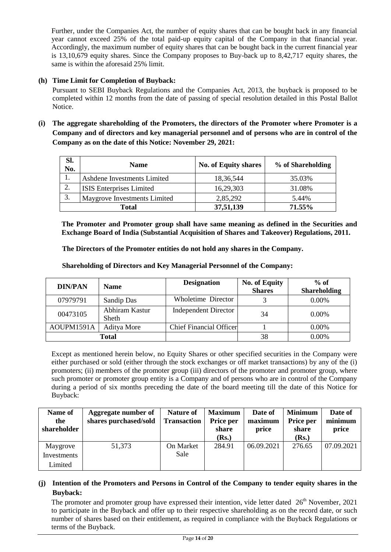Further, under the Companies Act, the number of equity shares that can be bought back in any financial year cannot exceed 25% of the total paid-up equity capital of the Company in that financial year. Accordingly, the maximum number of equity shares that can be bought back in the current financial year is 13,10,679 equity shares. Since the Company proposes to Buy-back up to 8,42,717 equity shares, the same is within the aforesaid 25% limit.

# **(h) Time Limit for Completion of Buyback:**

Pursuant to SEBI Buyback Regulations and the Companies Act, 2013, the buyback is proposed to be completed within 12 months from the date of passing of special resolution detailed in this Postal Ballot Notice.

**(i) The aggregate shareholding of the Promoters, the directors of the Promoter where Promoter is a Company and of directors and key managerial personnel and of persons who are in control of the Company as on the date of this Notice: November 29, 2021:**

| SI.<br>No. | <b>Name</b>                     | <b>No. of Equity shares</b> | % of Shareholding |
|------------|---------------------------------|-----------------------------|-------------------|
|            | Ashdene Investments Limited     | 18,36,544                   | 35.03%            |
| 2.         | <b>ISIS</b> Enterprises Limited | 16,29,303                   | 31.08%            |
| 3.         | Maygrove Investments Limited    | 2,85,292                    | 5.44%             |
|            | <b>Total</b>                    | 37,51,139                   | 71.55%            |

**The Promoter and Promoter group shall have same meaning as defined in the Securities and Exchange Board of India (Substantial Acquisition of Shares and Takeover) Regulations, 2011.**

**The Directors of the Promoter entities do not hold any shares in the Company.**

**Shareholding of Directors and Key Managerial Personnel of the Company:**

| <b>DIN/PAN</b><br><b>Name</b> |                         | <b>Designation</b>             | <b>No. of Equity</b> | $%$ of              |
|-------------------------------|-------------------------|--------------------------------|----------------------|---------------------|
|                               |                         |                                | <b>Shares</b>        | <b>Shareholding</b> |
| 07979791                      | Sandip Das              | Wholetime Director             |                      | $0.00\%$            |
| 00473105                      | Abhiram Kastur<br>Sheth | <b>Independent Director</b>    | 34                   | $0.00\%$            |
| AOUPM1591A                    | <b>Aditya More</b>      | <b>Chief Financial Officer</b> |                      | $0.00\%$            |
|                               | Total                   |                                | 38                   | $0.00\%$            |

Except as mentioned herein below, no Equity Shares or other specified securities in the Company were either purchased or sold (either through the stock exchanges or off market transactions) by any of the (i) promoters; (ii) members of the promoter group (iii) directors of the promoter and promoter group, where such promoter or promoter group entity is a Company and of persons who are in control of the Company during a period of six months preceding the date of the board meeting till the date of this Notice for Buyback:

| Name of<br>the | Aggregate number of<br>shares purchased/sold | <b>Nature of</b><br><b>Transaction</b> | <b>Maximum</b><br>Price per | Date of<br>maximum | <b>Minimum</b><br>Price per | Date of<br>minimum |
|----------------|----------------------------------------------|----------------------------------------|-----------------------------|--------------------|-----------------------------|--------------------|
| shareholder    |                                              |                                        | share                       | price              | share                       | price              |
|                |                                              |                                        | (Rs.)                       |                    | (Rs.)                       |                    |
| Maygrove       | 51,373                                       | On Market                              | 284.91                      | 06.09.2021         | 276.65                      | 07.09.2021         |
| Investments    |                                              | <b>Sale</b>                            |                             |                    |                             |                    |
| Limited        |                                              |                                        |                             |                    |                             |                    |

# **(j) Intention of the Promoters and Persons in Control of the Company to tender equity shares in the Buyback:**

The promoter and promoter group have expressed their intention, vide letter dated 26<sup>th</sup> November, 2021 to participate in the Buyback and offer up to their respective shareholding as on the record date, or such number of shares based on their entitlement, as required in compliance with the Buyback Regulations or terms of the Buyback.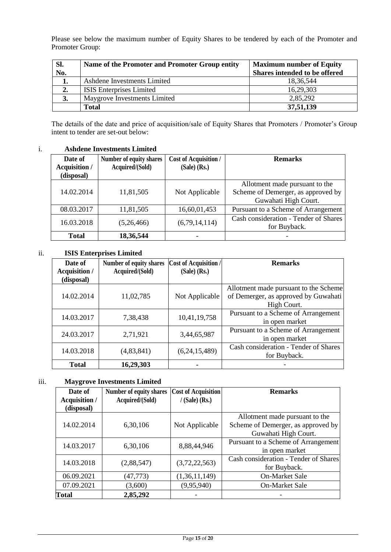Please see below the maximum number of Equity Shares to be tendered by each of the Promoter and Promoter Group:

| Sl.<br>No. | Name of the Promoter and Promoter Group entity | <b>Maximum number of Equity</b><br>Shares intended to be offered |
|------------|------------------------------------------------|------------------------------------------------------------------|
|            | Ashdene Investments Limited                    | 18,36,544                                                        |
| 2.         | <b>ISIS Enterprises Limited</b>                | 16,29,303                                                        |
| 3.         | Maygrove Investments Limited                   | 2,85,292                                                         |
|            | <b>Total</b>                                   | 37,51,139                                                        |

The details of the date and price of acquisition/sale of Equity Shares that Promoters / Promoter's Group intent to tender are set-out below:

# i. **Ashdene Investments Limited**

| Date of<br>Acquisition /<br>(disposal) | Number of equity shares<br>Acquired/(Sold) | <b>Cost of Acquisition /</b><br>$(Sale)$ (Rs.) | <b>Remarks</b>                                                                               |
|----------------------------------------|--------------------------------------------|------------------------------------------------|----------------------------------------------------------------------------------------------|
| 14.02.2014                             | 11,81,505                                  | Not Applicable                                 | Allotment made pursuant to the<br>Scheme of Demerger, as approved by<br>Guwahati High Court. |
| 08.03.2017                             | 11,81,505                                  | 16,60,01,453                                   | Pursuant to a Scheme of Arrangement                                                          |
| 16.03.2018                             | (5,26,466)                                 | (6,79,14,114)                                  | Cash consideration - Tender of Shares<br>for Buyback.                                        |
| <b>Total</b>                           | 18,36,544                                  |                                                |                                                                                              |

# ii. **ISIS Enterprises Limited**

| Date of                            | Number of equity shares | <b>Cost of Acquisition /</b> | <b>Remarks</b>                        |
|------------------------------------|-------------------------|------------------------------|---------------------------------------|
| <b>Acquisition /</b><br>(disposal) | Acquired/(Sold)         | $(Sale)$ (Rs.)               |                                       |
|                                    |                         |                              | Allotment made pursuant to the Scheme |
| 14.02.2014                         | 11,02,785               | Not Applicable               | of Demerger, as approved by Guwahati  |
|                                    |                         |                              | High Court.                           |
| 14.03.2017                         | 7,38,438                | 10,41,19,758                 | Pursuant to a Scheme of Arrangement   |
|                                    |                         |                              | in open market                        |
| 24.03.2017                         | 2,71,921                | 3,44,65,987                  | Pursuant to a Scheme of Arrangement   |
|                                    |                         |                              | in open market                        |
| 14.03.2018                         | (4,83,841)              | (6,24,15,489)                | Cash consideration - Tender of Shares |
|                                    |                         |                              | for Buyback.                          |
| <b>Total</b>                       | 16,29,303               |                              |                                       |

# iii. **Maygrove Investments Limited**

| Date of<br>Acquisition /<br>(disposal) | <b>Number of equity shares</b><br>Acquired/(Sold) | <b>Cost of Acquisition</b><br>$/$ (Sale) (Rs.) | <b>Remarks</b>                                                                               |
|----------------------------------------|---------------------------------------------------|------------------------------------------------|----------------------------------------------------------------------------------------------|
| 14.02.2014                             | 6,30,106                                          | Not Applicable                                 | Allotment made pursuant to the<br>Scheme of Demerger, as approved by<br>Guwahati High Court. |
| 14.03.2017                             | 6,30,106                                          | 8,88,44,946                                    | Pursuant to a Scheme of Arrangement<br>in open market                                        |
| 14.03.2018                             | (2,88,547)                                        | (3,72,22,563)                                  | Cash consideration - Tender of Shares<br>for Buyback.                                        |
| 06.09.2021                             | (47, 773)                                         | (1,36,11,149)                                  | <b>On-Market Sale</b>                                                                        |
| 07.09.2021                             | (3,600)                                           | (9,95,940)                                     | <b>On-Market Sale</b>                                                                        |
| <b>Total</b>                           | 2,85,292                                          |                                                |                                                                                              |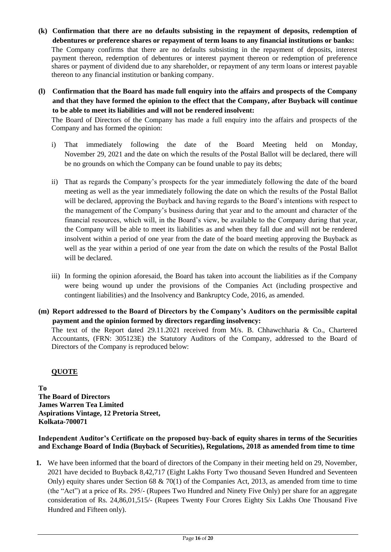**(k) Confirmation that there are no defaults subsisting in the repayment of deposits, redemption of debentures or preference shares or repayment of term loans to any financial institutions or banks:**

The Company confirms that there are no defaults subsisting in the repayment of deposits, interest payment thereon, redemption of debentures or interest payment thereon or redemption of preference shares or payment of dividend due to any shareholder, or repayment of any term loans or interest payable thereon to any financial institution or banking company.

**(l) Confirmation that the Board has made full enquiry into the affairs and prospects of the Company and that they have formed the opinion to the effect that the Company, after Buyback will continue to be able to meet its liabilities and will not be rendered insolvent:**

The Board of Directors of the Company has made a full enquiry into the affairs and prospects of the Company and has formed the opinion:

- i) That immediately following the date of the Board Meeting held on Monday, November 29, 2021 and the date on which the results of the Postal Ballot will be declared, there will be no grounds on which the Company can be found unable to pay its debts;
- ii) That as regards the Company"s prospects for the year immediately following the date of the board meeting as well as the year immediately following the date on which the results of the Postal Ballot will be declared, approving the Buyback and having regards to the Board"s intentions with respect to the management of the Company"s business during that year and to the amount and character of the financial resources, which will, in the Board"s view, be available to the Company during that year, the Company will be able to meet its liabilities as and when they fall due and will not be rendered insolvent within a period of one year from the date of the board meeting approving the Buyback as well as the year within a period of one year from the date on which the results of the Postal Ballot will be declared.
- iii) In forming the opinion aforesaid, the Board has taken into account the liabilities as if the Company were being wound up under the provisions of the Companies Act (including prospective and contingent liabilities) and the Insolvency and Bankruptcy Code, 2016, as amended.
- **(m) Report addressed to the Board of Directors by the Company's Auditors on the permissible capital payment and the opinion formed by directors regarding insolvency:**

The text of the Report dated 29.11.2021 received from M/s. B. Chhawchharia & Co., Chartered Accountants, (FRN: 305123E) the Statutory Auditors of the Company, addressed to the Board of Directors of the Company is reproduced below:

# **QUOTE**

**To The Board of Directors James Warren Tea Limited Aspirations Vintage, 12 Pretoria Street, Kolkata-700071** 

### **Independent Auditor's Certificate on the proposed buy-back of equity shares in terms of the Securities and Exchange Board of India (Buyback of Securities), Regulations, 2018 as amended from time to time**

**1.** We have been informed that the board of directors of the Company in their meeting held on 29, November, 2021 have decided to Buyback 8,42,717 (Eight Lakhs Forty Two thousand Seven Hundred and Seventeen Only) equity shares under Section 68  $\& 70(1)$  of the Companies Act, 2013, as amended from time to time (the "Act") at a price of Rs. 295/- (Rupees Two Hundred and Ninety Five Only) per share for an aggregate consideration of Rs. 24,86,01,515/- (Rupees Twenty Four Crores Eighty Six Lakhs One Thousand Five Hundred and Fifteen only).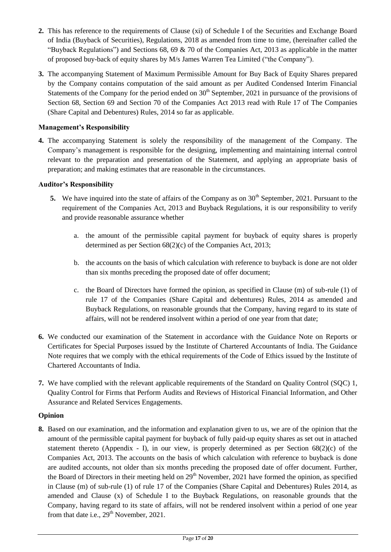- **2.** This has reference to the requirements of Clause (xi) of Schedule I of the Securities and Exchange Board of India (Buyback of Securities), Regulations, 2018 as amended from time to time, (hereinafter called the "Buyback Regulations") and Sections 68, 69  $\&$  70 of the Companies Act, 2013 as applicable in the matter of proposed buy-back of equity shares by M/s James Warren Tea Limited ("the Company").
- **3.** The accompanying Statement of Maximum Permissible Amount for Buy Back of Equity Shares prepared by the Company contains computation of the said amount as per Audited Condensed Interim Financial Statements of the Company for the period ended on  $30<sup>th</sup>$  September, 2021 in pursuance of the provisions of Section 68, Section 69 and Section 70 of the Companies Act 2013 read with Rule 17 of The Companies (Share Capital and Debentures) Rules, 2014 so far as applicable.

# **Management's Responsibility**

**4.** The accompanying Statement is solely the responsibility of the management of the Company. The Company"s management is responsible for the designing, implementing and maintaining internal control relevant to the preparation and presentation of the Statement, and applying an appropriate basis of preparation; and making estimates that are reasonable in the circumstances.

### **Auditor's Responsibility**

- **5.** We have inquired into the state of affairs of the Company as on 30<sup>th</sup> September, 2021. Pursuant to the requirement of the Companies Act, 2013 and Buyback Regulations, it is our responsibility to verify and provide reasonable assurance whether
	- a. the amount of the permissible capital payment for buyback of equity shares is properly determined as per Section 68(2)(c) of the Companies Act, 2013;
	- b. the accounts on the basis of which calculation with reference to buyback is done are not older than six months preceding the proposed date of offer document;
	- c. the Board of Directors have formed the opinion, as specified in Clause (m) of sub-rule (1) of rule 17 of the Companies (Share Capital and debentures) Rules, 2014 as amended and Buyback Regulations, on reasonable grounds that the Company, having regard to its state of affairs, will not be rendered insolvent within a period of one year from that date;
- **6.** We conducted our examination of the Statement in accordance with the Guidance Note on Reports or Certificates for Special Purposes issued by the Institute of Chartered Accountants of India. The Guidance Note requires that we comply with the ethical requirements of the Code of Ethics issued by the Institute of Chartered Accountants of India.
- **7.** We have complied with the relevant applicable requirements of the Standard on Quality Control (SQC) 1, Quality Control for Firms that Perform Audits and Reviews of Historical Financial Information, and Other Assurance and Related Services Engagements.

### **Opinion**

**8.** Based on our examination, and the information and explanation given to us, we are of the opinion that the amount of the permissible capital payment for buyback of fully paid-up equity shares as set out in attached statement thereto (Appendix - I), in our view, is properly determined as per Section  $68(2)(c)$  of the Companies Act, 2013. The accounts on the basis of which calculation with reference to buyback is done are audited accounts, not older than six months preceding the proposed date of offer document. Further, the Board of Directors in their meeting held on  $29<sup>th</sup>$  November, 2021 have formed the opinion, as specified in Clause (m) of sub-rule (1) of rule 17 of the Companies (Share Capital and Debentures) Rules 2014, as amended and Clause (x) of Schedule I to the Buyback Regulations, on reasonable grounds that the Company, having regard to its state of affairs, will not be rendered insolvent within a period of one year from that date i.e., 29<sup>th</sup> November, 2021.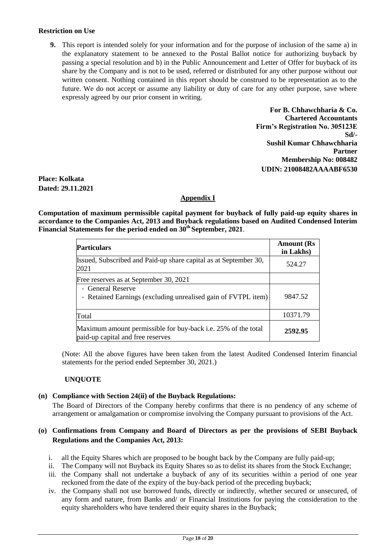#### **Restriction on Use**

**9.** This report is intended solely for your information and for the purpose of inclusion of the same a) in the explanatory statement to be annexed to the Postal Ballot notice for authorizing buyback by passing a special resolution and b) in the Public Announcement and Letter of Offer for buyback of its share by the Company and is not to be used, referred or distributed for any other purpose without our written consent. Nothing contained in this report should be construed to be representation as to the future. We do not accept or assume any liability or duty of care for any other purpose, save where expressly agreed by our prior consent in writing.

> **For B. Chhawchharia & Co. Chartered Accountants Firm's Registration No. 305123E Sd/- Sushil Kumar Chhawchharia Partner Membership No: 008482 UDIN: 21008482AAAABF6530**

**Place: Kolkata Dated: 29.11.2021**

# **Appendix I**

**Computation of maximum permissible capital payment for buyback of fully paid-up equity shares in accordance to the Companies Act, 2013 and Buyback regulations based on Audited Condensed Interim Financial Statements for the period ended on 30th September, 2021**.

| <b>Particulars</b>                                                                                 | <b>Amount</b> (Rs<br>in Lakhs) |
|----------------------------------------------------------------------------------------------------|--------------------------------|
| Issued, Subscribed and Paid-up share capital as at September 30,<br>2021                           | 524.27                         |
| Free reserves as at September 30, 2021                                                             |                                |
| - General Reserve<br>- Retained Earnings (excluding unrealised gain of FVTPL item)                 | 9847.52                        |
| Total                                                                                              | 10371.79                       |
| Maximum amount permissible for buy-back i.e. 25% of the total<br>paid-up capital and free reserves | 2592.95                        |

(Note: All the above figures have been taken from the latest Audited Condensed Interim financial statements for the period ended September 30, 2021.)

### **UNQUOTE**

#### **(n) Compliance with Section 24(ii) of the Buyback Regulations:**

The Board of Directors of the Company hereby confirms that there is no pendency of any scheme of arrangement or amalgamation or compromise involving the Company pursuant to provisions of the Act.

#### **(o) Confirmations from Company and Board of Directors as per the provisions of SEBI Buyback Regulations and the Companies Act, 2013:**

- i. all the Equity Shares which are proposed to be bought back by the Company are fully paid-up;
- ii. The Company will not Buyback its Equity Shares so as to delist its shares from the Stock Exchange;
- iii. the Company shall not undertake a buyback of any of its securities within a period of one year reckoned from the date of the expiry of the buy-back period of the preceding buyback;
- iv. the Company shall not use borrowed funds, directly or indirectly, whether secured or unsecured, of any form and nature, from Banks and/ or Financial Institutions for paying the consideration to the equity shareholders who have tendered their equity shares in the Buyback;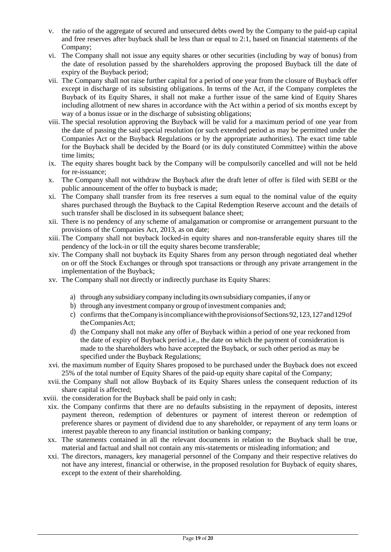- v. the ratio of the aggregate of secured and unsecured debts owed by the Company to the paid-up capital and free reserves after buyback shall be less than or equal to 2:1, based on financial statements of the Company;
- vi. The Company shall not issue any equity shares or other securities (including by way of bonus) from the date of resolution passed by the shareholders approving the proposed Buyback till the date of expiry of the Buyback period;
- vii. The Company shall not raise further capital for a period of one year from the closure of Buyback offer except in discharge of its subsisting obligations. In terms of the Act, if the Company completes the Buyback of its Equity Shares, it shall not make a further issue of the same kind of Equity Shares including allotment of new shares in accordance with the Act within a period of six months except by way of a bonus issue or in the discharge of subsisting obligations;
- viii. The special resolution approving the Buyback will be valid for a maximum period of one year from the date of passing the said special resolution (or such extended period as may be permitted under the Companies Act or the Buyback Regulations or by the appropriate authorities). The exact time table for the Buyback shall be decided by the Board (or its duly constituted Committee) within the above time limits;
- ix. The equity shares bought back by the Company will be compulsorily cancelled and will not be held for re-issuance;
- x. The Company shall not withdraw the Buyback after the draft letter of offer is filed with SEBI or the public announcement of the offer to buyback is made;
- xi. The Company shall transfer from its free reserves a sum equal to the nominal value of the equity shares purchased through the Buyback to the Capital Redemption Reserve account and the details of such transfer shall be disclosed in its subsequent balance sheet:
- xii. There is no pendency of any scheme of amalgamation or compromise or arrangement pursuant to the provisions of the Companies Act, 2013, as on date;
- xiii. The Company shall not buyback locked-in equity shares and non-transferable equity shares till the pendency of the lock-in or till the equity shares become transferable;
- xiv. The Company shall not buyback its Equity Shares from any person through negotiated deal whether on or off the Stock Exchanges or through spot transactions or through any private arrangement in the implementation of the Buyback;
- xv. The Company shall not directly or indirectly purchase its Equity Shares:
	- a) through any subsidiary company including its own subsidiary companies,if any or
	- b) through any investment company or group of investment companies and;
	- c) confirms that theCompanyisincompliancewiththeprovisionsofSections92,123,127and129of the Companies Act;
	- d) the Company shall not make any offer of Buyback within a period of one year reckoned from the date of expiry of Buyback period i.e., the date on which the payment of consideration is made to the shareholders who have accepted the Buyback, or such other period as may be specified under the Buyback Regulations;
- xvi. the maximum number of Equity Shares proposed to be purchased under the Buyback does not exceed 25% of the total number of Equity Shares of the paid-up equity share capital of the Company;
- xvii.the Company shall not allow Buyback of its Equity Shares unless the consequent reduction of its share capital is affected;
- xviii. the consideration for the Buyback shall be paid only in cash;
- xix. the Company confirms that there are no defaults subsisting in the repayment of deposits, interest payment thereon, redemption of debentures or payment of interest thereon or redemption of preference shares or payment of dividend due to any shareholder, or repayment of any term loans or interest payable thereon to any financial institution or banking company;
- xx. The statements contained in all the relevant documents in relation to the Buyback shall be true, material and factual and shall not contain any mis-statements or misleading information; and
- xxi. The directors, managers, key managerial personnel of the Company and their respective relatives do not have any interest, financial or otherwise, in the proposed resolution for Buyback of equity shares, except to the extent of their shareholding.